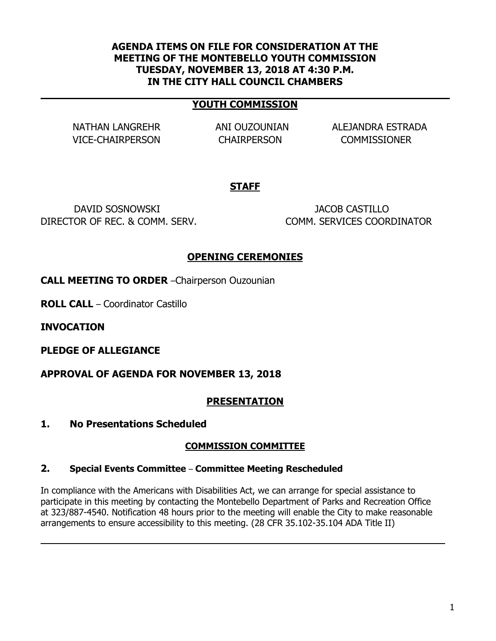#### **AGENDA ITEMS ON FILE FOR CONSIDERATION AT THE MEETING OF THE MONTEBELLO YOUTH COMMISSION TUESDAY, NOVEMBER 13, 2018 AT 4:30 P.M. IN THE CITY HALL COUNCIL CHAMBERS**

#### **YOUTH COMMISSION**

VICE-CHAIRPERSON CHAIRPERSON COMMISSIONER

NATHAN LANGREHR ANI OUZOUNIAN ALEJANDRA ESTRADA

### **STAFF**

DAVID SOSNOWSKI JACOB CASTILLO DIRECTOR OF REC. & COMM. SERV. COMM. SERVICES COORDINATOR

### **OPENING CEREMONIES**

**CALL MEETING TO ORDER** –Chairperson Ouzounian

**ROLL CALL** – Coordinator Castillo

**INVOCATION**

**PLEDGE OF ALLEGIANCE**

**APPROVAL OF AGENDA FOR NOVEMBER 13, 2018**

### **PRESENTATION**

**1. No Presentations Scheduled**

### **COMMISSION COMMITTEE**

#### **2. Special Events Committee** – **Committee Meeting Rescheduled**

In compliance with the Americans with Disabilities Act, we can arrange for special assistance to participate in this meeting by contacting the Montebello Department of Parks and Recreation Office at 323/887-4540. Notification 48 hours prior to the meeting will enable the City to make reasonable arrangements to ensure accessibility to this meeting. (28 CFR 35.102-35.104 ADA Title II)